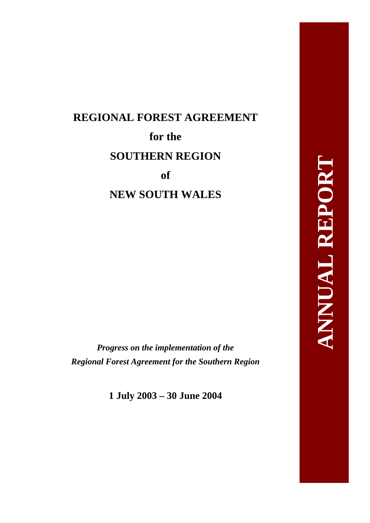# **REGIONAL FOREST AGREEMENT for the SOUTHERN REGION of NEW SOUTH WALES**

*Progress on the implementation of the Regional Forest Agreement for the Southern Region* 

**1 July 2003 – 30 June 2004**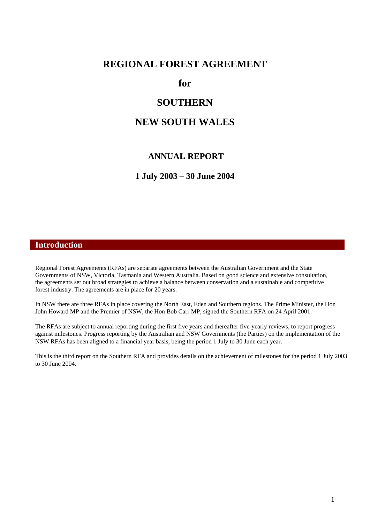### **REGIONAL FOREST AGREEMENT**

**for** 

## **SOUTHERN**

# **NEW SOUTH WALES**

#### **ANNUAL REPORT**

**1 July 2003 – 30 June 2004** 

#### **Introduction**

Regional Forest Agreements (RFAs) are separate agreements between the Australian Government and the State Governments of NSW, Victoria, Tasmania and Western Australia. Based on good science and extensive consultation, the agreements set out broad strategies to achieve a balance between conservation and a sustainable and competitive forest industry. The agreements are in place for 20 years.

In NSW there are three RFAs in place covering the North East, Eden and Southern regions. The Prime Minister, the Hon John Howard MP and the Premier of NSW, the Hon Bob Carr MP, signed the Southern RFA on 24 April 2001.

The RFAs are subject to annual reporting during the first five years and thereafter five-yearly reviews, to report progress against milestones. Progress reporting by the Australian and NSW Governments (the Parties) on the implementation of the NSW RFAs has been aligned to a financial year basis, being the period 1 July to 30 June each year.

This is the third report on the Southern RFA and provides details on the achievement of milestones for the period 1 July 2003 to 30 June 2004.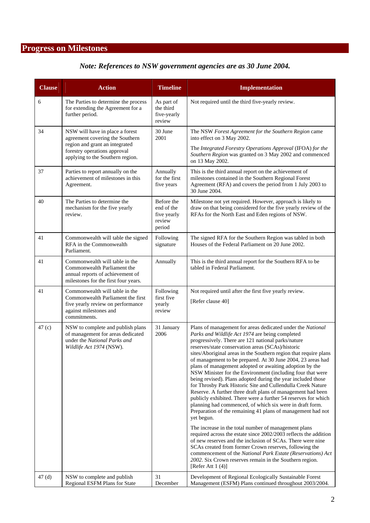# **Progress on Milestones**

# *Note: References to NSW government agencies are as 30 June 2004.*

| <b>Clause</b>     | <b>Action</b>                                                                                                                                      | <b>Timeline</b>                                             | <b>Implementation</b>                                                                                                                                                                                                                                                                                                                                                                                                                                                                                                                                                                                                                                                                                                                                                                                                                                                                                                                                 |
|-------------------|----------------------------------------------------------------------------------------------------------------------------------------------------|-------------------------------------------------------------|-------------------------------------------------------------------------------------------------------------------------------------------------------------------------------------------------------------------------------------------------------------------------------------------------------------------------------------------------------------------------------------------------------------------------------------------------------------------------------------------------------------------------------------------------------------------------------------------------------------------------------------------------------------------------------------------------------------------------------------------------------------------------------------------------------------------------------------------------------------------------------------------------------------------------------------------------------|
| 6                 | The Parties to determine the process<br>for extending the Agreement for a<br>further period.                                                       | As part of<br>the third<br>five-yearly<br>review            | Not required until the third five-yearly review.                                                                                                                                                                                                                                                                                                                                                                                                                                                                                                                                                                                                                                                                                                                                                                                                                                                                                                      |
| 34                | NSW will have in place a forest<br>agreement covering the Southern                                                                                 | 30 June<br>2001                                             | The NSW Forest Agreement for the Southern Region came<br>into effect on 3 May 2002.                                                                                                                                                                                                                                                                                                                                                                                                                                                                                                                                                                                                                                                                                                                                                                                                                                                                   |
|                   | region and grant an integrated<br>forestry operations approval<br>applying to the Southern region.                                                 |                                                             | The Integrated Forestry Operations Approval (IFOA) for the<br>Southern Region was granted on 3 May 2002 and commenced<br>on 13 May 2002.                                                                                                                                                                                                                                                                                                                                                                                                                                                                                                                                                                                                                                                                                                                                                                                                              |
| 37                | Parties to report annually on the<br>achievement of milestones in this<br>Agreement.                                                               | Annually<br>for the first<br>five years                     | This is the third annual report on the achievement of<br>milestones contained in the Southern Regional Forest<br>Agreement (RFA) and covers the period from 1 July 2003 to<br>30 June 2004.                                                                                                                                                                                                                                                                                                                                                                                                                                                                                                                                                                                                                                                                                                                                                           |
| 40                | The Parties to determine the<br>mechanism for the five yearly<br>review.                                                                           | Before the<br>end of the<br>five yearly<br>review<br>period | Milestone not yet required. However, approach is likely to<br>draw on that being considered for the five yearly review of the<br>RFAs for the North East and Eden regions of NSW.                                                                                                                                                                                                                                                                                                                                                                                                                                                                                                                                                                                                                                                                                                                                                                     |
| 41                | Commonwealth will table the signed<br>RFA in the Commonwealth<br>Parliament.                                                                       | Following<br>signature                                      | The signed RFA for the Southern Region was tabled in both<br>Houses of the Federal Parliament on 20 June 2002.                                                                                                                                                                                                                                                                                                                                                                                                                                                                                                                                                                                                                                                                                                                                                                                                                                        |
| 41                | Commonwealth will table in the<br>Commonwealth Parliament the<br>annual reports of achievement of<br>milestones for the first four years.          | Annually                                                    | This is the third annual report for the Southern RFA to be<br>tabled in Federal Parliament.                                                                                                                                                                                                                                                                                                                                                                                                                                                                                                                                                                                                                                                                                                                                                                                                                                                           |
| 41                | Commonwealth will table in the<br>Commonwealth Parliament the first<br>five yearly review on performance<br>against milestones and<br>commitments. | Following<br>first five<br>yearly<br>review                 | Not required until after the first five yearly review.<br>[Refer clause 40]                                                                                                                                                                                                                                                                                                                                                                                                                                                                                                                                                                                                                                                                                                                                                                                                                                                                           |
| 47 <sub>(c)</sub> | NSW to complete and publish plans<br>of management for areas dedicated<br>under the National Parks and<br>Wildlife Act 1974 (NSW).                 | 31 January<br>2006                                          | Plans of management for areas dedicated under the National<br>Parks and Wildlife Act 1974 are being completed<br>progressively. There are 121 national parks/nature<br>reserves/state conservation areas (SCAs)/historic<br>sites/Aboriginal areas in the Southern region that require plans<br>of management to be prepared. At 30 June 2004, 23 areas had<br>plans of management adopted or awaiting adoption by the<br>NSW Minister for the Environment (including four that were<br>being revised). Plans adopted during the year included those<br>for Throsby Park Historic Site and Cullendulla Creek Nature<br>Reserve. A further three draft plans of management had been<br>publicly exhibited. There were a further 54 reserves for which<br>planning had commenced, of which six were in draft form.<br>Preparation of the remaining 41 plans of management had not<br>yet begun.<br>The increase in the total number of management plans |
|                   |                                                                                                                                                    |                                                             | required across the estate since 2002/2003 reflects the addition<br>of new reserves and the inclusion of SCAs. There were nine<br>SCAs created from former Crown reserves, following the<br>commencement of the National Park Estate (Reservations) Act<br>2002. Six Crown reserves remain in the Southern region.<br>[Refer Att $1(4)$ ]                                                                                                                                                                                                                                                                                                                                                                                                                                                                                                                                                                                                             |
| 47(d)             | NSW to complete and publish<br>Regional ESFM Plans for State                                                                                       | 31<br>December                                              | Development of Regional Ecologically Sustainable Forest<br>Management (ESFM) Plans continued throughout 2003/2004.                                                                                                                                                                                                                                                                                                                                                                                                                                                                                                                                                                                                                                                                                                                                                                                                                                    |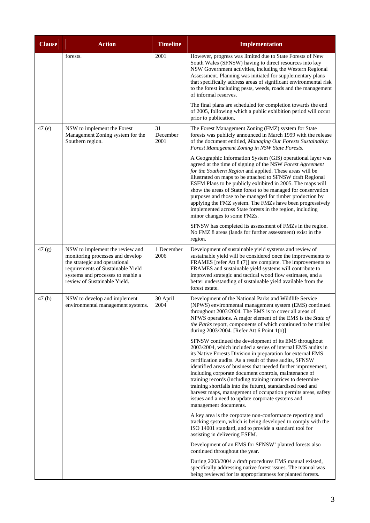<span id="page-3-0"></span>

| <b>Clause</b> | <b>Action</b>                                                                                                                                                                                                  | <b>Timeline</b>        | <b>Implementation</b>                                                                                                                                                                                                                                                                                                                                                                                                                                                                                                                                                                                                                                                |
|---------------|----------------------------------------------------------------------------------------------------------------------------------------------------------------------------------------------------------------|------------------------|----------------------------------------------------------------------------------------------------------------------------------------------------------------------------------------------------------------------------------------------------------------------------------------------------------------------------------------------------------------------------------------------------------------------------------------------------------------------------------------------------------------------------------------------------------------------------------------------------------------------------------------------------------------------|
|               | forests.                                                                                                                                                                                                       | 2001                   | However, progress was limited due to State Forests of New<br>South Wales (SFNSW) having to direct resources into key<br>NSW Government activities, including the Western Regional<br>Assessment. Planning was initiated for supplementary plans<br>that specifically address areas of significant environmental risk<br>to the forest including pests, weeds, roads and the management<br>of informal reserves.                                                                                                                                                                                                                                                      |
|               |                                                                                                                                                                                                                |                        | The final plans are scheduled for completion towards the end<br>of 2005, following which a public exhibition period will occur<br>prior to publication.                                                                                                                                                                                                                                                                                                                                                                                                                                                                                                              |
| 47(e)         | NSW to implement the Forest<br>Management Zoning system for the<br>Southern region.                                                                                                                            | 31<br>December<br>2001 | The Forest Management Zoning (FMZ) system for State<br>forests was publicly announced in March 1999 with the release<br>of the document entitled, Managing Our Forests Sustainably:<br>Forest Management Zoning in NSW State Forests.                                                                                                                                                                                                                                                                                                                                                                                                                                |
|               |                                                                                                                                                                                                                |                        | A Geographic Information System (GIS) operational layer was<br>agreed at the time of signing of the NSW Forest Agreement<br>for the Southern Region and applied. These areas will be<br>illustrated on maps to be attached to SFNSW draft Regional<br>ESFM Plans to be publicly exhibited in 2005. The maps will<br>show the areas of State forest to be managed for conservation<br>purposes and those to be managed for timber production by<br>applying the FMZ system. The FMZs have been progressively<br>implemented across State forests in the region, including<br>minor changes to some FMZs.<br>SFNSW has completed its assessment of FMZs in the region. |
|               |                                                                                                                                                                                                                |                        | No FMZ 8 areas (lands for further assessment) exist in the<br>region.                                                                                                                                                                                                                                                                                                                                                                                                                                                                                                                                                                                                |
| 47(g)         | NSW to implement the review and<br>monitoring processes and develop<br>the strategic and operational<br>requirements of Sustainable Yield<br>systems and processes to enable a<br>review of Sustainable Yield. | 1 December<br>2006     | Development of sustainable yield systems and review of<br>sustainable yield will be considered once the improvements to<br>FRAMES [refer Att 8 (7)] are complete. The improvements to<br>FRAMES and sustainable yield systems will contribute to<br>improved strategic and tactical wood flow estimates, and a<br>better understanding of sustainable yield available from the<br>forest estate.                                                                                                                                                                                                                                                                     |
| 47(h)         | NSW to develop and implement<br>environmental management systems.                                                                                                                                              | 30 April<br>2004       | Development of the National Parks and Wildlife Service<br>(NPWS) environmental management system (EMS) continued<br>throughout 2003/2004. The EMS is to cover all areas of<br>NPWS operations. A major element of the EMS is the State of<br>the Parks report, components of which continued to be trialled<br>during 2003/2004. [Refer Att 6 Point 1(o)]                                                                                                                                                                                                                                                                                                            |
|               |                                                                                                                                                                                                                |                        | SFNSW continued the development of its EMS throughout<br>2003/2004, which included a series of internal EMS audits in<br>its Native Forests Division in preparation for external EMS<br>certification audits. As a result of these audits, SFNSW<br>identified areas of business that needed further improvement,<br>including corporate document controls, maintenance of<br>training records (including training matrices to determine<br>training shortfalls into the future), standardised road and<br>harvest maps, management of occupation permits areas, safety<br>issues and a need to update corporate systems and<br>management documents.                |
|               |                                                                                                                                                                                                                |                        | A key area is the corporate non-conformance reporting and<br>tracking system, which is being developed to comply with the<br>ISO 14001 standard, and to provide a standard tool for<br>assisting in delivering ESFM.                                                                                                                                                                                                                                                                                                                                                                                                                                                 |
|               |                                                                                                                                                                                                                |                        | Development of an EMS for SFNSW' planted forests also<br>continued throughout the year.                                                                                                                                                                                                                                                                                                                                                                                                                                                                                                                                                                              |
|               |                                                                                                                                                                                                                |                        | During 2003/2004 a draft procedures EMS manual existed,<br>specifically addressing native forest issues. The manual was<br>being reviewed for its appropriateness for planted forests.                                                                                                                                                                                                                                                                                                                                                                                                                                                                               |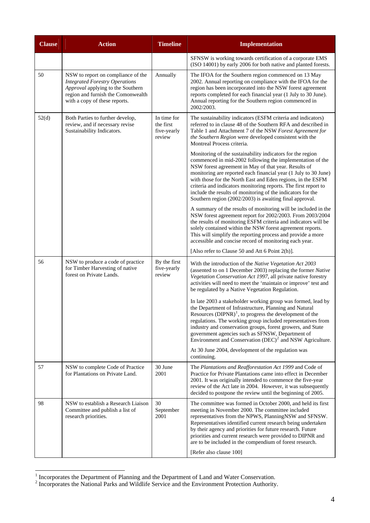| <b>Clause</b> | <b>Action</b>                                                                                                                                                                           | <b>Timeline</b>                                   | <b>Implementation</b>                                                                                                                                                                                                                                                                                                                                                                                                                                                                                          |
|---------------|-----------------------------------------------------------------------------------------------------------------------------------------------------------------------------------------|---------------------------------------------------|----------------------------------------------------------------------------------------------------------------------------------------------------------------------------------------------------------------------------------------------------------------------------------------------------------------------------------------------------------------------------------------------------------------------------------------------------------------------------------------------------------------|
|               |                                                                                                                                                                                         |                                                   | SFNSW is working towards certification of a corporate EMS<br>(ISO 14001) by early 2006 for both native and planted forests.                                                                                                                                                                                                                                                                                                                                                                                    |
| 50            | NSW to report on compliance of the<br><b>Integrated Forestry Operations</b><br>Approval applying to the Southern<br>region and furnish the Comonwealth<br>with a copy of these reports. | Annually                                          | The IFOA for the Southern region commenced on 13 May<br>2002. Annual reporting on compliance with the IFOA for the<br>region has been incorporated into the NSW forest agreement<br>reports completed for each financial year (1 July to 30 June).<br>Annual reporting for the Southern region commenced in<br>2002/2003.                                                                                                                                                                                      |
| 52(d)         | Both Parties to further develop,<br>review, and if necessary revise<br>Sustainability Indicators.                                                                                       | In time for<br>the first<br>five-yearly<br>review | The sustainability indicators (ESFM criteria and indicators)<br>referred to in clause 48 of the Southern RFA and described in<br>Table 1 and Attachment 7 of the NSW Forest Agreement for<br>the Southern Region were developed consistent with the<br>Montreal Process criteria.                                                                                                                                                                                                                              |
|               |                                                                                                                                                                                         |                                                   | Monitoring of the sustainability indicators for the region<br>commenced in mid-2002 following the implementation of the<br>NSW forest agreement in May of that year. Results of<br>monitoring are reported each financial year (1 July to 30 June)<br>with those for the North East and Eden regions, in the ESFM<br>criteria and indicators monitoring reports. The first report to<br>include the results of monitoring of the indicators for the<br>Southern region (2002/2003) is awaiting final approval. |
|               |                                                                                                                                                                                         |                                                   | A summary of the results of monitoring will be included in the<br>NSW forest agreement report for 2002/2003. From 2003/2004<br>the results of monitoring ESFM criteria and indicators will be<br>solely contained within the NSW forest agreement reports.<br>This will simplify the reporting process and provide a more<br>accessible and concise record of monitoring each year.                                                                                                                            |
|               |                                                                                                                                                                                         |                                                   | [Also refer to Clause 50 and Att 6 Point 2(h)].                                                                                                                                                                                                                                                                                                                                                                                                                                                                |
| 56            | NSW to produce a code of practice<br>for Timber Harvesting of native<br>forest on Private Lands.                                                                                        | By the first<br>five-yearly<br>review             | With the introduction of the Native Vegetation Act 2003<br>(assented to on 1 December 2003) replacing the former Native<br>Vegetation Conservation Act 1997, all private native forestry<br>activities will need to meet the 'maintain or improve' test and<br>be regulated by a Native Vegetation Regulation.                                                                                                                                                                                                 |
|               |                                                                                                                                                                                         |                                                   | In late 2003 a stakeholder working group was formed, lead by<br>the Department of Infrastructure, Planning and Natural<br>Resources $(DIPNR)^1$ , to progress the development of the<br>regulations. The working group included representatives from<br>industry and conservation groups, forest growers, and State<br>government agencies such as SFNSW, Department of<br>Environment and Conservation $(DEC)^2$ and NSW Agriculture.                                                                         |
|               |                                                                                                                                                                                         |                                                   | At 30 June 2004, development of the regulation was<br>continuing.                                                                                                                                                                                                                                                                                                                                                                                                                                              |
| 57            | NSW to complete Code of Practice<br>for Plantations on Private Land.                                                                                                                    | 30 June<br>2001                                   | The Plantations and Reafforestation Act 1999 and Code of<br>Practice for Private Plantations came into effect in December<br>2001. It was originally intended to commence the five-year<br>review of the Act late in 2004. However, it was subsequently<br>decided to postpone the review until the beginning of 2005.                                                                                                                                                                                         |
| 98            | NSW to establish a Research Liaison<br>Committee and publish a list of<br>research priorities.                                                                                          | 30<br>September<br>2001                           | The committee was formed in October 2000, and held its first<br>meeting in November 2000. The committee included<br>representatives from the NPWS, PlanningNSW and SFNSW.<br>Representatives identified current research being undertaken<br>by their agency and priorities for future research. Future<br>priorities and current research were provided to DIPNR and<br>are to be included in the compendium of forest research.<br>[Refer also clause 100]                                                   |

<span id="page-4-0"></span>

<sup>&</sup>lt;sup>1</sup><br>
<sup>1</sup> Incorporates the Department of Planning and the Department of Land and Water Conservation.<br>
<sup>2</sup> Incorporates the National Parks and Wildlife Service and the Environment Protection Authority.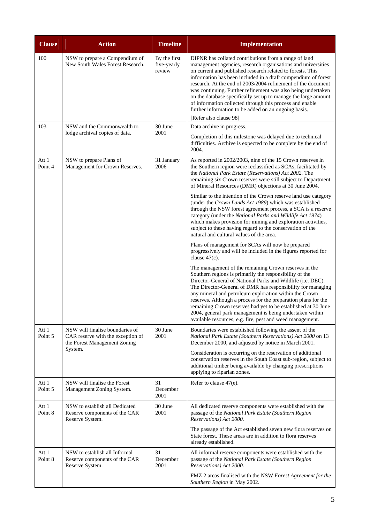| <b>Clause</b>    | <b>Action</b>                                                                                                   | <b>Timeline</b>                       | <b>Implementation</b>                                                                                                                                                                                                                                                                                                                                                                                                                                                                                                                                                                                                                                                                                                                              |
|------------------|-----------------------------------------------------------------------------------------------------------------|---------------------------------------|----------------------------------------------------------------------------------------------------------------------------------------------------------------------------------------------------------------------------------------------------------------------------------------------------------------------------------------------------------------------------------------------------------------------------------------------------------------------------------------------------------------------------------------------------------------------------------------------------------------------------------------------------------------------------------------------------------------------------------------------------|
| 100              | NSW to prepare a Compendium of<br>New South Wales Forest Research.                                              | By the first<br>five-yearly<br>review | DIPNR has collated contributions from a range of land<br>management agencies, research organisations and universities<br>on current and published research related to forests. This<br>information has been included in a draft compendium of forest<br>research. At the end of 2003/2004 refinement of the document<br>was continuing. Further refinement was also being undertaken<br>on the database specifically set up to manage the large amount<br>of information collected through this process and enable<br>further information to be added on an ongoing basis.<br>[Refer also clause 98]                                                                                                                                               |
| 103              | NSW and the Commonwealth to<br>lodge archival copies of data.                                                   | 30 June<br>2001                       | Data archive in progress.<br>Completion of this milestone was delayed due to technical<br>difficulties. Archive is expected to be complete by the end of<br>2004.                                                                                                                                                                                                                                                                                                                                                                                                                                                                                                                                                                                  |
| Att 1<br>Point 4 | NSW to prepare Plans of<br>Management for Crown Reserves.                                                       | 31 January<br>2006                    | As reported in 2002/2003, nine of the 15 Crown reserves in<br>the Southern region were reclassified as SCAs, facilitated by<br>the National Park Estate (Reservations) Act 2002. The<br>remaining six Crown reserves were still subject to Department<br>of Mineral Resources (DMR) objections at 30 June 2004.<br>Similar to the intention of the Crown reserve land use category<br>(under the Crown Lands Act 1989) which was established<br>through the NSW forest agreement process, a SCA is a reserve<br>category (under the National Parks and Wildlife Act 1974)<br>which makes provision for mining and exploration activities,<br>subject to these having regard to the conservation of the<br>natural and cultural values of the area. |
|                  |                                                                                                                 |                                       | Plans of management for SCAs will now be prepared<br>progressively and will be included in the figures reported for<br>clause $47(c)$ .<br>The management of the remaining Crown reserves in the<br>Southern regions is primarily the responsibility of the<br>Director-General of National Parks and Wildlife (i.e. DEC).<br>The Director-General of DMR has responsibility for managing<br>any mineral and petroleum exploration within the Crown<br>reserves. Although a process for the preparation plans for the<br>remaining Crown reserves had yet to be established at 30 June<br>2004, general park management is being undertaken within<br>available resources, e.g. fire, pest and weed management.                                    |
| Att 1<br>Point 5 | NSW will finalise boundaries of<br>CAR reserve with the exception of<br>the Forest Management Zoning<br>System. | 30 June<br>2001                       | Boundaries were established following the assent of the<br>National Park Estate (Southern Reservations) Act 2000 on 13<br>December 2000, and adjusted by notice in March 2001.<br>Consideration is occurring on the reservation of additional<br>conservation reserves in the South Coast sub-region, subject to<br>additional timber being available by changing prescriptions<br>applying to riparian zones.                                                                                                                                                                                                                                                                                                                                     |
| Att 1<br>Point 5 | NSW will finalise the Forest<br>Management Zoning System.                                                       | 31<br>December<br>2001                | Refer to clause 47(e).                                                                                                                                                                                                                                                                                                                                                                                                                                                                                                                                                                                                                                                                                                                             |
| Att 1<br>Point 8 | NSW to establish all Dedicated<br>Reserve components of the CAR<br>Reserve System.                              | 30 June<br>2001                       | All dedicated reserve components were established with the<br>passage of the National Park Estate (Southern Region<br>Reservations) Act 2000.<br>The passage of the Act established seven new flora reserves on<br>State forest. These areas are in addition to flora reserves<br>already established.                                                                                                                                                                                                                                                                                                                                                                                                                                             |
| Att 1<br>Point 8 | NSW to establish all Informal<br>Reserve components of the CAR<br>Reserve System.                               | 31<br>December<br>2001                | All informal reserve components were established with the<br>passage of the National Park Estate (Southern Region<br>Reservations) Act 2000.<br>FMZ 2 areas finalised with the NSW Forest Agreement for the<br>Southern Region in May 2002.                                                                                                                                                                                                                                                                                                                                                                                                                                                                                                        |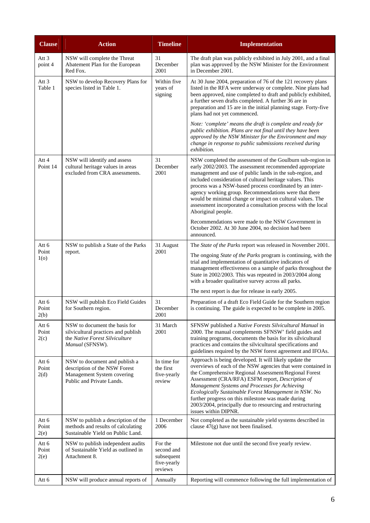| <b>Clause</b>                    | <b>Action</b>                                                                                                             | <b>Timeline</b>                                               | <b>Implementation</b>                                                                                                                                                                                                                                                                                                                                                                                                                                                                                                   |
|----------------------------------|---------------------------------------------------------------------------------------------------------------------------|---------------------------------------------------------------|-------------------------------------------------------------------------------------------------------------------------------------------------------------------------------------------------------------------------------------------------------------------------------------------------------------------------------------------------------------------------------------------------------------------------------------------------------------------------------------------------------------------------|
| Att 3<br>point 4                 | NSW will complete the Threat<br>Abatement Plan for the European<br>Red Fox.                                               | 31<br>December<br>2001                                        | The draft plan was publicly exhibited in July 2001, and a final<br>plan was approved by the NSW Minister for the Environment<br>in December 2001.                                                                                                                                                                                                                                                                                                                                                                       |
| Att <sub>3</sub><br>Table 1      | NSW to develop Recovery Plans for<br>species listed in Table 1.                                                           | Within five<br>years of<br>signing                            | At 30 June 2004, preparation of 76 of the 121 recovery plans<br>listed in the RFA were underway or complete. Nine plans had<br>been approved, nine completed to draft and publicly exhibited,<br>a further seven drafts completed. A further 36 are in<br>preparation and 15 are in the initial planning stage. Forty-five<br>plans had not yet commenced.                                                                                                                                                              |
|                                  |                                                                                                                           |                                                               | Note: 'complete' means the draft is complete and ready for<br>public exhibition. Plans are not final until they have been<br>approved by the NSW Minister for the Environment and may<br>change in response to public submissions received during<br>exhibition.                                                                                                                                                                                                                                                        |
| Att 4<br>Point 14                | NSW will identify and assess<br>cultural heritage values in areas<br>excluded from CRA assessments.                       | 31<br>December<br>2001                                        | NSW completed the assessment of the Goulburn sub-region in<br>early 2002/2003. The assessment recommended appropriate<br>management and use of public lands in the sub-region, and<br>included consideration of cultural heritage values. This<br>process was a NSW-based process coordinated by an inter-<br>agency working group. Recommendations were that there<br>would be minimal change or impact on cultural values. The<br>assessment incorporated a consultation process with the local<br>Aboriginal people. |
|                                  |                                                                                                                           |                                                               | Recommendations were made to the NSW Government in<br>October 2002. At 30 June 2004, no decision had been<br>announced.                                                                                                                                                                                                                                                                                                                                                                                                 |
| Att 6<br>Point<br>1 <sub>0</sub> | NSW to publish a State of the Parks<br>report.                                                                            | 31 August<br>2001                                             | The <i>State of the Parks</i> report was released in November 2001.<br>The ongoing State of the Parks program is continuing, with the<br>trial and implementation of quantitative indicators of<br>management effectiveness on a sample of parks throughout the<br>State in 2002/2003. This was repeated in 2003/2004 along<br>with a broader qualitative survey across all parks.                                                                                                                                      |
|                                  |                                                                                                                           |                                                               | The next report is due for release in early 2005.                                                                                                                                                                                                                                                                                                                                                                                                                                                                       |
| Att 6<br>Point<br>2(b)           | NSW will publish Eco Field Guides<br>for Southern region.                                                                 | 31<br>December<br>2001                                        | Preparation of a draft Eco Field Guide for the Southern region<br>is continuing. The guide is expected to be complete in 2005.                                                                                                                                                                                                                                                                                                                                                                                          |
| Att 6<br>Point<br>2(c)           | NSW to document the basis for<br>silvicultural practices and publish<br>the Native Forest Silviculture<br>Manual (SFNSW). | 31 March<br>2001                                              | SFNSW published a Native Forests Silvicultural Manual in<br>2000. The manual complements SFNSW' field guides and<br>training programs, documents the basis for its silvicultural<br>practices and contains the silvicultural specifications and<br>guidelines required by the NSW forest agreement and IFOAs.                                                                                                                                                                                                           |
| Att 6<br>Point<br>2(d)           | NSW to document and publish a<br>description of the NSW Forest<br>Management System covering<br>Public and Private Lands. | In time for<br>the first<br>five-yearly<br>review             | Approach is being developed. It will likely update the<br>overviews of each of the NSW agencies that were contained in<br>the Comprehensive Regional Assessment/Regional Forest<br>Assessment (CRA/RFA) ESFM report, Description of<br>Management Systems and Processes for Achieving<br>Ecologically Sustainable Forest Management in NSW. No<br>further progress on this milestone was made during<br>2003/2004, principally due to resourcing and restructuring<br>issues within DIPNR.                              |
| Att 6<br>Point<br>2(e)           | NSW to publish a description of the<br>methods and results of calculating<br>Sustainable Yield on Public Land.            | 1 December<br>2006                                            | Not completed as the sustainable yield systems described in<br>clause 47(g) have not been finalised.                                                                                                                                                                                                                                                                                                                                                                                                                    |
| Att 6<br>Point<br>2(e)           | NSW to publish independent audits<br>of Sustainable Yield as outlined in<br>Attachment 8.                                 | For the<br>second and<br>subsequent<br>five-yearly<br>reviews | Milestone not due until the second five yearly review.                                                                                                                                                                                                                                                                                                                                                                                                                                                                  |
| Att 6                            | NSW will produce annual reports of                                                                                        | Annually                                                      | Reporting will commence following the full implementation of                                                                                                                                                                                                                                                                                                                                                                                                                                                            |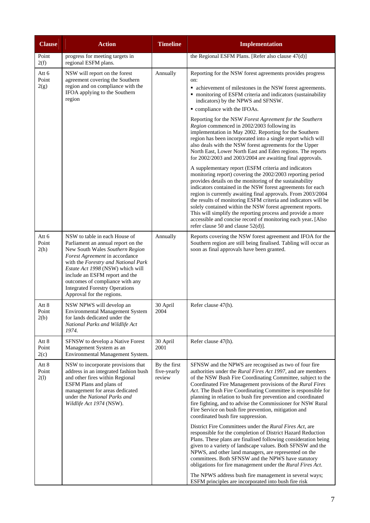| <b>Clause</b>          | <b>Action</b>                                                                                                                                                                                                                                                                                                                                                  | <b>Timeline</b>                       | <b>Implementation</b>                                                                                                                                                                                                                                                                                                                                                                                                                                                                                                                                                                                                                                                                                                                                                                                                                                                                                                                                                                                                                                                                                                                                                                                                                                                                                                |
|------------------------|----------------------------------------------------------------------------------------------------------------------------------------------------------------------------------------------------------------------------------------------------------------------------------------------------------------------------------------------------------------|---------------------------------------|----------------------------------------------------------------------------------------------------------------------------------------------------------------------------------------------------------------------------------------------------------------------------------------------------------------------------------------------------------------------------------------------------------------------------------------------------------------------------------------------------------------------------------------------------------------------------------------------------------------------------------------------------------------------------------------------------------------------------------------------------------------------------------------------------------------------------------------------------------------------------------------------------------------------------------------------------------------------------------------------------------------------------------------------------------------------------------------------------------------------------------------------------------------------------------------------------------------------------------------------------------------------------------------------------------------------|
| Point<br>2(f)          | progress for meeting targets in<br>regional ESFM plans.                                                                                                                                                                                                                                                                                                        |                                       | the Regional ESFM Plans. [Refer also clause 47(d)]                                                                                                                                                                                                                                                                                                                                                                                                                                                                                                                                                                                                                                                                                                                                                                                                                                                                                                                                                                                                                                                                                                                                                                                                                                                                   |
| Att 6<br>Point<br>2(g) | NSW will report on the forest<br>agreement covering the Southern<br>region and on compliance with the<br>IFOA applying to the Southern<br>region                                                                                                                                                                                                               | Annually                              | Reporting for the NSW forest agreements provides progress<br>on:<br>• achievement of milestones in the NSW forest agreements.<br>• monitoring of ESFM criteria and indicators (sustainability<br>indicators) by the NPWS and SFNSW.<br>• compliance with the IFOAs.<br>Reporting for the NSW Forest Agreement for the Southern<br>Region commenced in 2002/2003 following its<br>implementation in May 2002. Reporting for the Southern<br>region has been incorporated into a single report which will<br>also deals with the NSW forest agreements for the Upper<br>North East, Lower North East and Eden regions. The reports<br>for 2002/2003 and 2003/2004 are awaiting final approvals.<br>A supplementary report (ESFM criteria and indicators<br>monitoring report) covering the 2002/2003 reporting period<br>provides details on the monitoring of the sustainability<br>indicators contained in the NSW forest agreements for each<br>region is currently awaiting final approvals. From 2003/2004<br>the results of monitoring ESFM criteria and indicators will be<br>solely contained within the NSW forest agreement reports.<br>This will simplify the reporting process and provide a more<br>accessible and concise record of monitoring each year. [Also<br>refer clause 50 and clause $52(d)$ ]. |
| Att 6<br>Point<br>2(h) | NSW to table in each House of<br>Parliament an annual report on the<br>New South Wales Southern Region<br>Forest Agreement in accordance<br>with the Forestry and National Park<br>Estate Act 1998 (NSW) which will<br>include an ESFM report and the<br>outcomes of compliance with any<br><b>Integrated Forestry Operations</b><br>Approval for the regions. | Annually                              | Reports covering the NSW forest agreement and IFOA for the<br>Southern region are still being finalised. Tabling will occur as<br>soon as final approvals have been granted.                                                                                                                                                                                                                                                                                                                                                                                                                                                                                                                                                                                                                                                                                                                                                                                                                                                                                                                                                                                                                                                                                                                                         |
| Att 8<br>Point<br>2(b) | NSW NPWS will develop an<br><b>Environmental Management System</b><br>for lands dedicated under the<br>National Parks and Wildlife Act<br>1974.                                                                                                                                                                                                                | 30 April<br>2004                      | Refer clause 47(h).                                                                                                                                                                                                                                                                                                                                                                                                                                                                                                                                                                                                                                                                                                                                                                                                                                                                                                                                                                                                                                                                                                                                                                                                                                                                                                  |
| Att 8<br>Point<br>2(c) | SFNSW to develop a Native Forest<br>Management System as an<br>Environmental Management System.                                                                                                                                                                                                                                                                | 30 April<br>2001                      | Refer clause 47(h).                                                                                                                                                                                                                                                                                                                                                                                                                                                                                                                                                                                                                                                                                                                                                                                                                                                                                                                                                                                                                                                                                                                                                                                                                                                                                                  |
| Att 8<br>Point<br>2(1) | NSW to incorporate provisions that<br>address in an integrated fashion bush<br>and other fires within Regional<br>ESFM Plans and plans of<br>management for areas dedicated<br>under the National Parks and<br>Wildlife Act 1974 (NSW).                                                                                                                        | By the first<br>five-yearly<br>review | SFNSW and the NPWS are recognised as two of four fire<br>authorities under the Rural Fires Act 1997, and are members<br>of the NSW Bush Fire Coordinating Committee, subject to the<br>Coordinated Fire Management provisions of the Rural Fires<br>Act. The Bush Fire Coordinating Committee is responsible for<br>planning in relation to bush fire prevention and coordinated<br>fire fighting, and to advise the Commissioner for NSW Rural<br>Fire Service on bush fire prevention, mitigation and<br>coordinated bush fire suppression.<br>District Fire Committees under the Rural Fires Act, are<br>responsible for the completion of District Hazard Reduction<br>Plans. These plans are finalised following consideration being<br>given to a variety of landscape values. Both SFNSW and the<br>NPWS, and other land managers, are represented on the<br>committees. Both SFNSW and the NPWS have statutory<br>obligations for fire management under the Rural Fires Act.<br>The NPWS address bush fire management in several ways;<br>ESFM principles are incorporated into bush fire risk                                                                                                                                                                                                               |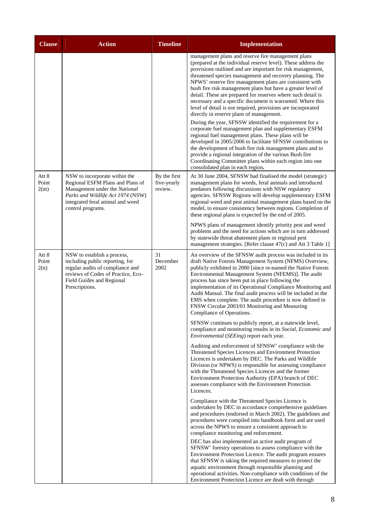| <b>Clause</b>          | <b>Action</b>                                                                                                                                                                                    | <b>Timeline</b>                        | <b>Implementation</b>                                                                                                                                                                                                                                                                                                                                                                                                                                                                                                                                                                                                                                                                                                                                                                                                                                                                                                                                                                                                                                                                |
|------------------------|--------------------------------------------------------------------------------------------------------------------------------------------------------------------------------------------------|----------------------------------------|--------------------------------------------------------------------------------------------------------------------------------------------------------------------------------------------------------------------------------------------------------------------------------------------------------------------------------------------------------------------------------------------------------------------------------------------------------------------------------------------------------------------------------------------------------------------------------------------------------------------------------------------------------------------------------------------------------------------------------------------------------------------------------------------------------------------------------------------------------------------------------------------------------------------------------------------------------------------------------------------------------------------------------------------------------------------------------------|
|                        |                                                                                                                                                                                                  |                                        | management plans and reserve fire management plans<br>(prepared at the individual reserve level). These address the<br>provisions outlined and are important for risk management,<br>threatened species management and recovery planning. The<br>NPWS' reserve fire management plans are consistent with<br>bush fire risk management plans but have a greater level of<br>detail. These are prepared for reserves where such detail is<br>necessary and a specific document is warranted. Where this<br>level of detail is not required, provisions are incorporated<br>directly in reserve plans of management.<br>During the year, SFNSW identified the requirement for a<br>corporate fuel management plan and supplementary ESFM<br>regional fuel management plans. These plans will be<br>developed in 2005/2006 to facilitate SFNSW contributions to<br>the development of bush fire risk management plans and to<br>provide a regional integration of the various Bush fire<br>Coordinating Committee plans within each region into one<br>consolidated plan in each region. |
| Att 8<br>Point<br>2(m) | NSW to incorporate within the<br>Regional ESFM Plans and Plans of<br>Management under the National<br>Parks and Wildlife Act 1974 (NSW)<br>integrated feral animal and weed<br>control programs. | By the first<br>five-yearly<br>review. | At 30 June 2004, SFNSW had finalised the model (strategic)<br>management plans for weeds, feral animals and introduced<br>predators following discussions with NSW regulatory<br>agencies. SFNSW Regions will develop supplementary ESFM<br>regional weed and pest animal management plans based on the<br>model, to ensure consistency between regions. Completion of<br>these regional plans is expected by the end of 2005.<br>NPWS plans of management identify priority pest and weed<br>problems and the need for actions which are in turn addressed                                                                                                                                                                                                                                                                                                                                                                                                                                                                                                                          |
|                        |                                                                                                                                                                                                  |                                        | by statewide threat abatement plans or regional pest<br>management strategies. [Refer clause 47(c) and Att 3 Table 1]                                                                                                                                                                                                                                                                                                                                                                                                                                                                                                                                                                                                                                                                                                                                                                                                                                                                                                                                                                |
| Att 8<br>Point<br>2(n) | NSW to establish a process,<br>including public reporting, for<br>regular audits of compliance and<br>reviews of Codes of Practice, Eco-<br>Field Guides and Regional<br>Prescriptions.          | 31<br>December<br>2002                 | An overview of the SFNSW audit process was included in its<br>draft Native Forests Management System (NFMS) Overview,<br>publicly exhibited in 2000 [since re-named the Native Forests<br>Environmental Management System (NFEMS)]. The audit<br>process has since been put in place following the<br>implementation of its Operational Compliance Monitoring and<br>Audit Manual. The final audit process will be included in the<br>EMS when complete. The audit procedure is now defined in<br>FNSW Circular 2003/01 Monitoring and Measuring<br>Compliance of Operations.                                                                                                                                                                                                                                                                                                                                                                                                                                                                                                        |
|                        |                                                                                                                                                                                                  |                                        | SFNSW continues to publicly report, at a statewide level,<br>compliance and monitoring results in its Social, Economic and<br>Environmental (SEEing) report each year.                                                                                                                                                                                                                                                                                                                                                                                                                                                                                                                                                                                                                                                                                                                                                                                                                                                                                                               |
|                        |                                                                                                                                                                                                  |                                        | Auditing and enforcement of SFNSW' compliance with the<br>Threatened Species Licences and Environment Protection<br>Licences is undertaken by DEC. The Parks and Wildlife<br>Division (or NPWS) is responsible for assessing compliance<br>with the Threatened Species Licences and the former<br>Environment Protection Authority (EPA) branch of DEC<br>assesses compliance with the Environment Protection<br>Licences.                                                                                                                                                                                                                                                                                                                                                                                                                                                                                                                                                                                                                                                           |
|                        |                                                                                                                                                                                                  |                                        | Compliance with the Threatened Species Licence is<br>undertaken by DEC in accordance comprehensive guidelines<br>and procedures (endorsed in March 2002). The guidelines and<br>procedures were compiled into handbook form and are used<br>across the NPWS to ensure a consistent approach to<br>compliance monitoring and enforcement.                                                                                                                                                                                                                                                                                                                                                                                                                                                                                                                                                                                                                                                                                                                                             |
|                        |                                                                                                                                                                                                  |                                        | DEC has also implemented an active audit program of<br>SFNSW' forestry operations to assess compliance with the<br>Environment Protection Licence. The audit program ensures<br>that SFNSW is taking the required measures to protect the<br>aquatic environment through responsible planning and<br>operational activities. Non-compliance with conditions of the<br>Environment Protection Licence are dealt with through                                                                                                                                                                                                                                                                                                                                                                                                                                                                                                                                                                                                                                                          |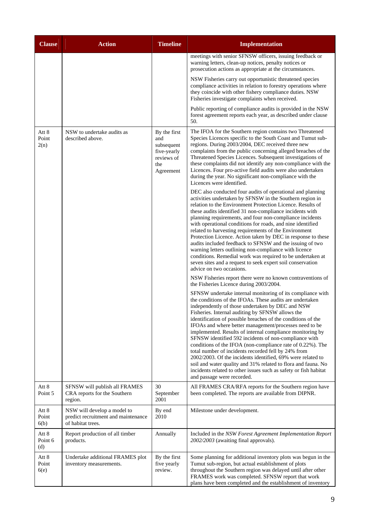| <b>Clause</b>           | <b>Action</b>                                                                           | <b>Timeline</b>                                                                    | <b>Implementation</b>                                                                                                                                                                                                                                                                                                                                                                                                                                                                                                                                                                                                                                                                                                                                                                                                                 |
|-------------------------|-----------------------------------------------------------------------------------------|------------------------------------------------------------------------------------|---------------------------------------------------------------------------------------------------------------------------------------------------------------------------------------------------------------------------------------------------------------------------------------------------------------------------------------------------------------------------------------------------------------------------------------------------------------------------------------------------------------------------------------------------------------------------------------------------------------------------------------------------------------------------------------------------------------------------------------------------------------------------------------------------------------------------------------|
|                         |                                                                                         |                                                                                    | meetings with senior SFNSW officers, issuing feedback or<br>warning letters, clean-up notices, penalty notices or<br>prosecution actions as appropriate at the circumstances.                                                                                                                                                                                                                                                                                                                                                                                                                                                                                                                                                                                                                                                         |
|                         |                                                                                         |                                                                                    | NSW Fisheries carry out opportunistic threatened species<br>compliance activities in relation to forestry operations where<br>they coincide with other fishery compliance duties. NSW<br>Fisheries investigate complaints when received.                                                                                                                                                                                                                                                                                                                                                                                                                                                                                                                                                                                              |
|                         |                                                                                         |                                                                                    | Public reporting of compliance audits is provided in the NSW<br>forest agreement reports each year, as described under clause<br>50.                                                                                                                                                                                                                                                                                                                                                                                                                                                                                                                                                                                                                                                                                                  |
| Att 8<br>Point<br>2(n)  | NSW to undertake audits as<br>described above.                                          | By the first<br>and<br>subsequent<br>five-yearly<br>reviews of<br>the<br>Agreement | The IFOA for the Southern region contains two Threatened<br>Species Licences specific to the South Coast and Tumut sub-<br>regions. During 2003/2004, DEC received three new<br>complaints from the public concerning alleged breaches of the<br>Threatened Species Licences. Subsequent investigations of<br>these complaints did not identify any non-compliance with the<br>Licences. Four pro-active field audits were also undertaken<br>during the year. No significant non-compliance with the<br>Licences were identified.                                                                                                                                                                                                                                                                                                    |
|                         |                                                                                         |                                                                                    | DEC also conducted four audits of operational and planning<br>activities undertaken by SFNSW in the Southern region in<br>relation to the Environment Protection Licence. Results of<br>these audits identified 31 non-compliance incidents with<br>planning requirements, and four non-compliance incidents<br>with operational conditions for roads, and nine identified<br>related to harvesting requirements of the Environment<br>Protection Licence. Action taken by DEC in response to these<br>audits included feedback to SFNSW and the issuing of two<br>warning letters outlining non-compliance with licence<br>conditions. Remedial work was required to be undertaken at<br>seven sites and a request to seek expert soil conservation<br>advice on two occasions.                                                      |
|                         |                                                                                         |                                                                                    | NSW Fisheries report there were no known contraventions of<br>the Fisheries Licence during 2003/2004.                                                                                                                                                                                                                                                                                                                                                                                                                                                                                                                                                                                                                                                                                                                                 |
|                         |                                                                                         |                                                                                    | SFNSW undertake internal monitoring of its compliance with<br>the conditions of the IFOAs. These audits are undertaken<br>independently of those undertaken by DEC and NSW<br>Fisheries. Internal auditing by SFNSW allows the<br>identification of possible breaches of the conditions of the<br>IFOAs and where better management/processes need to be<br>implemented. Results of internal compliance monitoring by<br>SFNSW identified 592 incidents of non-compliance with<br>conditions of the IFOA (non-compliance rate of 0.22%). The<br>total number of incidents recorded fell by 24% from<br>2002/2003. Of the incidents identified, 69% were related to<br>soil and water quality and 31% related to flora and fauna. No<br>incidents related to other issues such as safety or fish habitat<br>and passage were recorded. |
| Att 8<br>Point 5        | SFNSW will publish all FRAMES<br>CRA reports for the Southern<br>region.                | 30<br>September<br>2001                                                            | All FRAMES CRA/RFA reports for the Southern region have<br>been completed. The reports are available from DIPNR.                                                                                                                                                                                                                                                                                                                                                                                                                                                                                                                                                                                                                                                                                                                      |
| Att 8<br>Point<br>6(b)  | NSW will develop a model to<br>predict recruitment and maintenance<br>of habitat trees. | By end<br>2010                                                                     | Milestone under development.                                                                                                                                                                                                                                                                                                                                                                                                                                                                                                                                                                                                                                                                                                                                                                                                          |
| Att 8<br>Point 6<br>(d) | Report production of all timber<br>products.                                            | Annually                                                                           | Included in the NSW Forest Agreement Implementation Report<br>2002/2003 (awaiting final approvals).                                                                                                                                                                                                                                                                                                                                                                                                                                                                                                                                                                                                                                                                                                                                   |
| Att 8<br>Point<br>6(e)  | Undertake additional FRAMES plot<br>inventory measurements.                             | By the first<br>five yearly<br>review.                                             | Some planning for additional inventory plots was begun in the<br>Tumut sub-region, but actual establishment of plots<br>throughout the Southern region was delayed until after other<br>FRAMES work was completed. SFNSW report that work<br>plans have been completed and the establishment of inventory                                                                                                                                                                                                                                                                                                                                                                                                                                                                                                                             |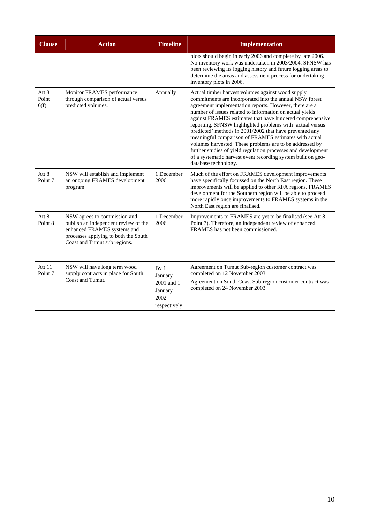| <b>Clause</b>                  | <b>Action</b>                                                                                                                                                               | <b>Timeline</b>                                                             | <b>Implementation</b>                                                                                                                                                                                                                                                                                                                                                                                                                                                                                                                                                                                                                                                                                 |
|--------------------------------|-----------------------------------------------------------------------------------------------------------------------------------------------------------------------------|-----------------------------------------------------------------------------|-------------------------------------------------------------------------------------------------------------------------------------------------------------------------------------------------------------------------------------------------------------------------------------------------------------------------------------------------------------------------------------------------------------------------------------------------------------------------------------------------------------------------------------------------------------------------------------------------------------------------------------------------------------------------------------------------------|
|                                |                                                                                                                                                                             |                                                                             | plots should begin in early 2006 and complete by late 2006.<br>No inventory work was undertaken in 2003/2004. SFNSW has<br>been reviewing its logging history and future logging areas to<br>determine the areas and assessment process for undertaking<br>inventory plots in 2006.                                                                                                                                                                                                                                                                                                                                                                                                                   |
| Att 8<br>Point<br>6(f)         | Monitor FRAMES performance<br>through comparison of actual versus<br>predicted volumes.                                                                                     | Annually                                                                    | Actual timber harvest volumes against wood supply<br>commitments are incorporated into the annual NSW forest<br>agreement implementation reports. However, there are a<br>number of issues related to information on actual yields<br>against FRAMES estimates that have hindered comprehensive<br>reporting. SFNSW highlighted problems with 'actual versus<br>predicted' methods in 2001/2002 that have prevented any<br>meaningful comparison of FRAMES estimates with actual<br>volumes harvested. These problems are to be addressed by<br>further studies of yield regulation processes and development<br>of a systematic harvest event recording system built on geo-<br>database technology. |
| Att 8<br>Point 7               | NSW will establish and implement<br>an ongoing FRAMES development<br>program.                                                                                               | 1 December<br>2006                                                          | Much of the effort on FRAMES development improvements<br>have specifically focussed on the North East region. These<br>improvements will be applied to other RFA regions. FRAMES<br>development for the Southern region will be able to proceed<br>more rapidly once improvements to FRAMES systems in the<br>North East region are finalised.                                                                                                                                                                                                                                                                                                                                                        |
| Att 8<br>Point 8               | NSW agrees to commission and<br>publish an independent review of the<br>enhanced FRAMES systems and<br>processes applying to both the South<br>Coast and Tumut sub regions. | 1 December<br>2006                                                          | Improvements to FRAMES are yet to be finalised (see Att 8)<br>Point 7). Therefore, an independent review of enhanced<br>FRAMES has not been commissioned.                                                                                                                                                                                                                                                                                                                                                                                                                                                                                                                                             |
| Att $11$<br>Point <sub>7</sub> | NSW will have long term wood<br>supply contracts in place for South<br>Coast and Tumut.                                                                                     | By <sub>1</sub><br>January<br>2001 and 1<br>January<br>2002<br>respectively | Agreement on Tumut Sub-region customer contract was<br>completed on 12 November 2003.<br>Agreement on South Coast Sub-region customer contract was<br>completed on 24 November 2003.                                                                                                                                                                                                                                                                                                                                                                                                                                                                                                                  |